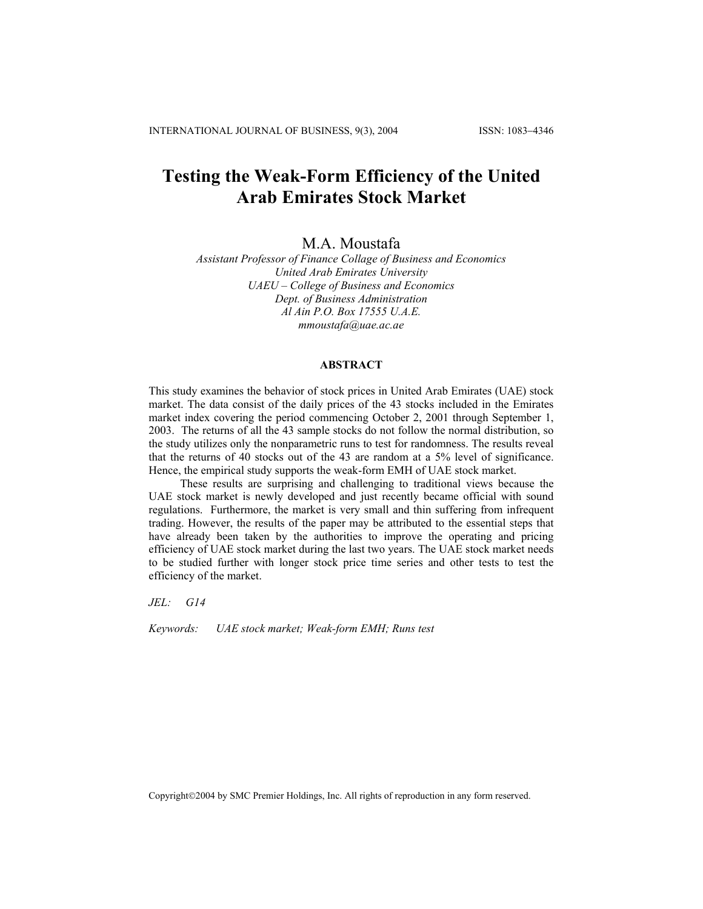# **Testing the Weak-Form Efficiency of the United Arab Emirates Stock Market**

M.A. Moustafa

*Assistant Professor of Finance Collage of Business and Economics United Arab Emirates University UAEU – College of Business and Economics Dept. of Business Administration Al Ain P.O. Box 17555 U.A.E. [mmoustafa@uae.ac.ae](mailto:mmoustafa@uae.ac.ae)*

#### **ABSTRACT**

This study examines the behavior of stock prices in United Arab Emirates (UAE) stock market. The data consist of the daily prices of the 43 stocks included in the Emirates market index covering the period commencing October 2, 2001 through September 1, 2003. The returns of all the 43 sample stocks do not follow the normal distribution, so the study utilizes only the nonparametric runs to test for randomness. The results reveal that the returns of 40 stocks out of the 43 are random at a 5% level of significance. Hence, the empirical study supports the weak-form EMH of UAE stock market.

These results are surprising and challenging to traditional views because the UAE stock market is newly developed and just recently became official with sound regulations. Furthermore, the market is very small and thin suffering from infrequent trading. However, the results of the paper may be attributed to the essential steps that have already been taken by the authorities to improve the operating and pricing efficiency of UAE stock market during the last two years. The UAE stock market needs to be studied further with longer stock price time series and other tests to test the efficiency of the market.

*JEL: G14* 

*Keywords: UAE stock market; Weak-form EMH; Runs test* 

Copyright©2004 by SMC Premier Holdings, Inc. All rights of reproduction in any form reserved.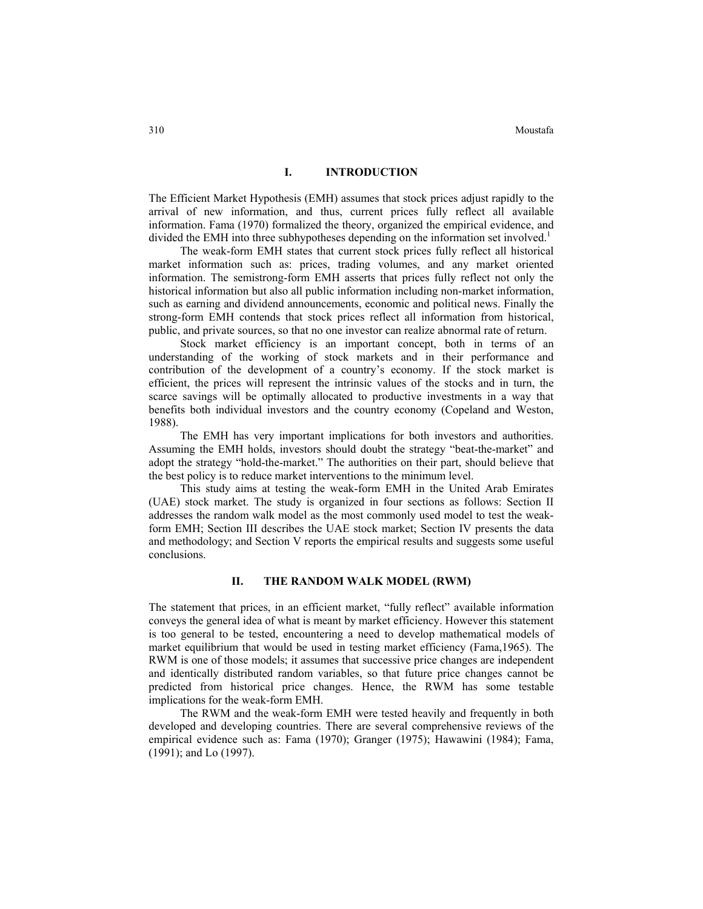### **I. INTRODUCTION**

The Efficient Market Hypothesis (EMH) assumes that stock prices adjust rapidly to the arrival of new information, and thus, current prices fully reflect all available information. Fama (1970) formalized the theory, organized the empirical evidence, and divided the EMH into three subhypotheses depending on the information set involved.<sup>1</sup>

The weak-form EMH states that current stock prices fully reflect all historical market information such as: prices, trading volumes, and any market oriented information. The semistrong-form EMH asserts that prices fully reflect not only the historical information but also all public information including non-market information, such as earning and dividend announcements, economic and political news. Finally the strong-form EMH contends that stock prices reflect all information from historical, public, and private sources, so that no one investor can realize abnormal rate of return.

Stock market efficiency is an important concept, both in terms of an understanding of the working of stock markets and in their performance and contribution of the development of a country's economy. If the stock market is efficient, the prices will represent the intrinsic values of the stocks and in turn, the scarce savings will be optimally allocated to productive investments in a way that benefits both individual investors and the country economy (Copeland and Weston, 1988).

The EMH has very important implications for both investors and authorities. Assuming the EMH holds, investors should doubt the strategy "beat-the-market" and adopt the strategy "hold-the-market." The authorities on their part, should believe that the best policy is to reduce market interventions to the minimum level.

This study aims at testing the weak-form EMH in the United Arab Emirates (UAE) stock market. The study is organized in four sections as follows: Section II addresses the random walk model as the most commonly used model to test the weakform EMH; Section III describes the UAE stock market; Section IV presents the data and methodology; and Section V reports the empirical results and suggests some useful conclusions.

## **II. THE RANDOM WALK MODEL (RWM)**

The statement that prices, in an efficient market, "fully reflect" available information conveys the general idea of what is meant by market efficiency. However this statement is too general to be tested, encountering a need to develop mathematical models of market equilibrium that would be used in testing market efficiency (Fama,1965). The RWM is one of those models; it assumes that successive price changes are independent and identically distributed random variables, so that future price changes cannot be predicted from historical price changes. Hence, the RWM has some testable implications for the weak-form EMH.

The RWM and the weak-form EMH were tested heavily and frequently in both developed and developing countries. There are several comprehensive reviews of the empirical evidence such as: Fama (1970); Granger (1975); Hawawini (1984); Fama, (1991); and Lo (1997).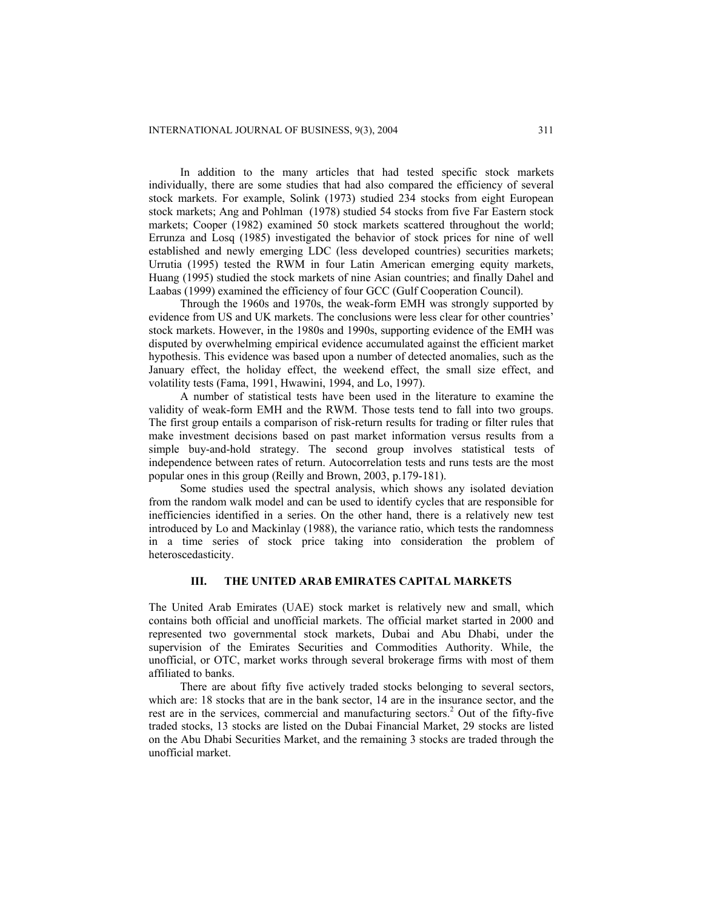In addition to the many articles that had tested specific stock markets individually, there are some studies that had also compared the efficiency of several stock markets. For example, Solink (1973) studied 234 stocks from eight European stock markets; Ang and Pohlman (1978) studied 54 stocks from five Far Eastern stock markets; Cooper (1982) examined 50 stock markets scattered throughout the world; Errunza and Losq (1985) investigated the behavior of stock prices for nine of well established and newly emerging LDC (less developed countries) securities markets; Urrutia (1995) tested the RWM in four Latin American emerging equity markets, Huang (1995) studied the stock markets of nine Asian countries; and finally Dahel and Laabas (1999) examined the efficiency of four GCC (Gulf Cooperation Council).

Through the 1960s and 1970s, the weak-form EMH was strongly supported by evidence from US and UK markets. The conclusions were less clear for other countries' stock markets. However, in the 1980s and 1990s, supporting evidence of the EMH was disputed by overwhelming empirical evidence accumulated against the efficient market hypothesis. This evidence was based upon a number of detected anomalies, such as the January effect, the holiday effect, the weekend effect, the small size effect, and volatility tests (Fama, 1991, Hwawini, 1994, and Lo, 1997).

A number of statistical tests have been used in the literature to examine the validity of weak-form EMH and the RWM. Those tests tend to fall into two groups. The first group entails a comparison of risk-return results for trading or filter rules that make investment decisions based on past market information versus results from a simple buy-and-hold strategy. The second group involves statistical tests of independence between rates of return. Autocorrelation tests and runs tests are the most popular ones in this group (Reilly and Brown, 2003, p.179-181).

Some studies used the spectral analysis, which shows any isolated deviation from the random walk model and can be used to identify cycles that are responsible for inefficiencies identified in a series. On the other hand, there is a relatively new test introduced by Lo and Mackinlay (1988), the variance ratio, which tests the randomness in a time series of stock price taking into consideration the problem of heteroscedasticity.

#### **III. THE UNITED ARAB EMIRATES CAPITAL MARKETS**

The United Arab Emirates (UAE) stock market is relatively new and small, which contains both official and unofficial markets. The official market started in 2000 and represented two governmental stock markets, Dubai and Abu Dhabi, under the supervision of the Emirates Securities and Commodities Authority. While, the unofficial, or OTC, market works through several brokerage firms with most of them affiliated to banks.

There are about fifty five actively traded stocks belonging to several sectors, which are: 18 stocks that are in the bank sector, 14 are in the insurance sector, and the rest are in the services, commercial and manufacturing sectors.<sup>2</sup> Out of the fifty-five traded stocks, 13 stocks are listed on the Dubai Financial Market, 29 stocks are listed on the Abu Dhabi Securities Market, and the remaining 3 stocks are traded through the unofficial market.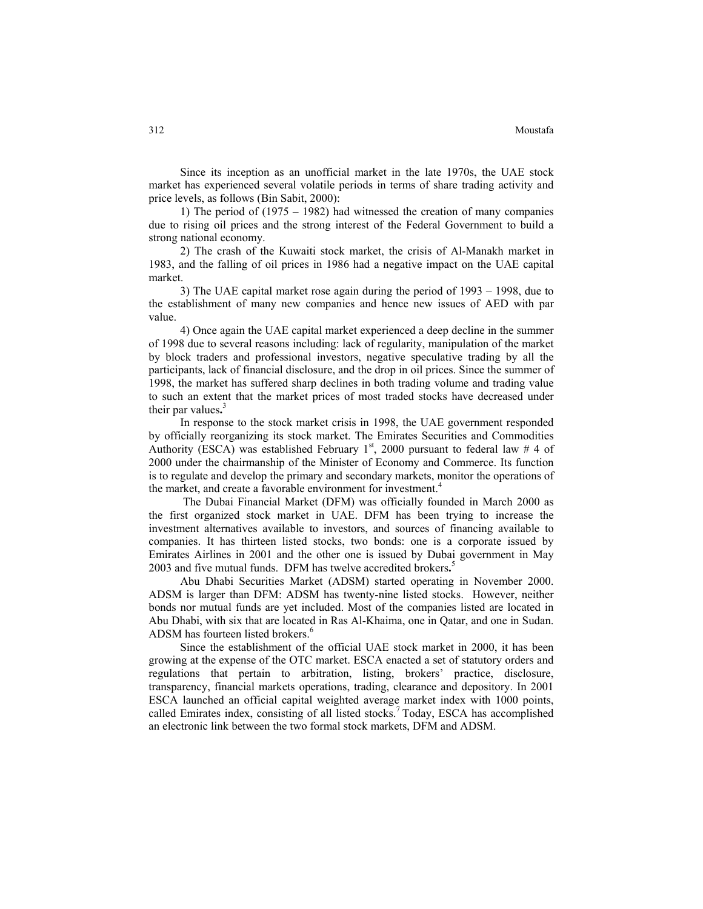Since its inception as an unofficial market in the late 1970s, the UAE stock market has experienced several volatile periods in terms of share trading activity and price levels, as follows (Bin Sabit, 2000):

1) The period of (1975 – 1982) had witnessed the creation of many companies due to rising oil prices and the strong interest of the Federal Government to build a strong national economy.

2) The crash of the Kuwaiti stock market, the crisis of Al-Manakh market in 1983, and the falling of oil prices in 1986 had a negative impact on the UAE capital market.

3) The UAE capital market rose again during the period of 1993 – 1998, due to the establishment of many new companies and hence new issues of AED with par value.

4) Once again the UAE capital market experienced a deep decline in the summer of 1998 due to several reasons including: lack of regularity, manipulation of the market by block traders and professional investors, negative speculative trading by all the participants, lack of financial disclosure, and the drop in oil prices. Since the summer of 1998, the market has suffered sharp declines in both trading volume and trading value to such an extent that the market prices of most traded stocks have decreased under their par values**.** 3

In response to the stock market crisis in 1998, the UAE government responded by officially reorganizing its stock market. The Emirates Securities and Commodities Authority (ESCA) was established February  $1<sup>st</sup>$ , 2000 pursuant to federal law # 4 of 2000 under the chairmanship of the Minister of Economy and Commerce. Its function is to regulate and develop the primary and secondary markets, monitor the operations of the market, and create a favorable environment for investment. 4

The Dubai Financial Market (DFM) was officially founded in March 2000 as the first organized stock market in UAE. DFM has been trying to increase the investment alternatives available to investors, and sources of financing available to companies. It has thirteen listed stocks, two bonds: one is a corporate issued by Emirates Airlines in 2001 and the other one is issued by Dubai government in May 2003 and five mutual funds. DFM has twelve accredited brokers**.** 5

Abu Dhabi Securities Market (ADSM) started operating in November 2000. ADSM is larger than DFM: ADSM has twenty-nine listed stocks. However, neither bonds nor mutual funds are yet included. Most of the companies listed are located in Abu Dhabi, with six that are located in Ras Al-Khaima, one in Qatar, and one in Sudan. ADSM has fourteen listed brokers.<sup>6</sup>

Since the establishment of the official UAE stock market in 2000, it has been growing at the expense of the OTC market. ESCA enacted a set of statutory orders and regulations that pertain to arbitration, listing, brokers' practice, disclosure, transparency, financial markets operations, trading, clearance and depository. In 2001 ESCA launched an official capital weighted average market index with 1000 points, called Emirates index, consisting of all listed stocks. <sup>7</sup> Today, ESCA has accomplished an electronic link between the two formal stock markets, DFM and ADSM.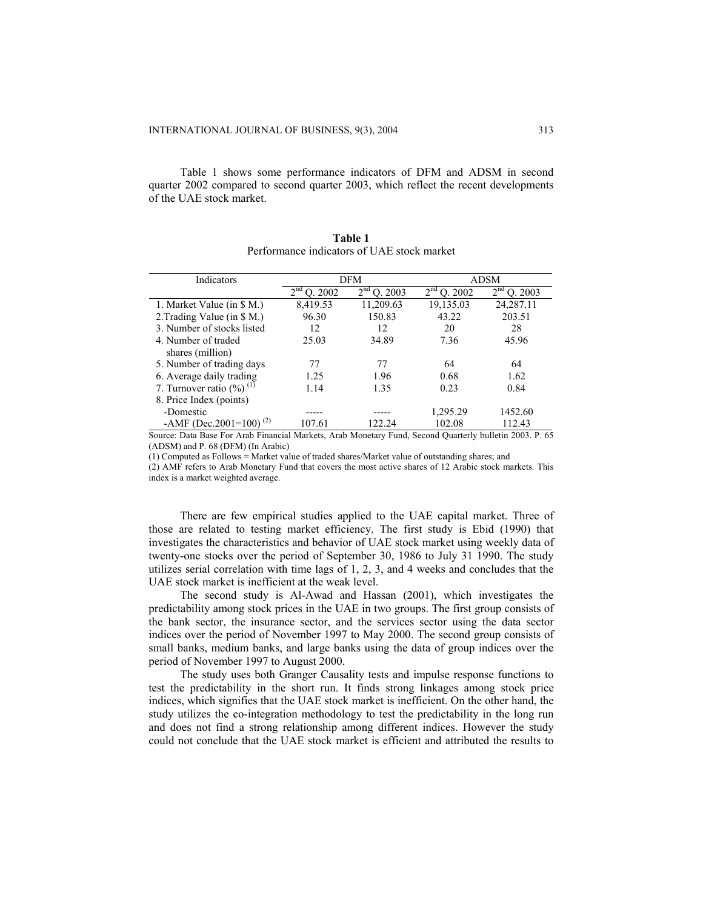Table 1 shows some performance indicators of DFM and ADSM in second quarter 2002 compared to second quarter 2003, which reflect the recent developments of the UAE stock market.

| Indicators                              | DFM                        |                            |               | <b>ADSM</b>                |  |
|-----------------------------------------|----------------------------|----------------------------|---------------|----------------------------|--|
|                                         | 2 <sup>nd</sup><br>O. 2002 | 2 <sup>nd</sup><br>O. 2003 | $2nd$ O. 2002 | 2 <sup>nd</sup><br>O. 2003 |  |
| 1. Market Value (in \$ M.)              | 8,419.53                   | 11,209.63                  | 19,135.03     | 24,287.11                  |  |
| 2. Trading Value (in \$ M.)             | 96.30                      | 150.83                     | 43.22         | 203.51                     |  |
| 3. Number of stocks listed              | 12                         | 12                         | 20            | 28                         |  |
| 4. Number of traded                     | 25.03                      | 34.89                      | 7.36          | 45.96                      |  |
| shares (million)                        |                            |                            |               |                            |  |
| 5. Number of trading days               | 77                         | 77                         | 64            | 64                         |  |
| 6. Average daily trading                | 1.25                       | 1.96                       | 0.68          | 1.62                       |  |
| 7. Turnover ratio $(\%)$ <sup>(1)</sup> | 1.14                       | 1.35                       | 0.23          | 0.84                       |  |
| 8. Price Index (points)                 |                            |                            |               |                            |  |
| -Domestic                               |                            |                            | 1,295.29      | 1452.60                    |  |
| -AMF (Dec. 2001 = 100) <sup>(2)</sup>   | 107.61                     | 122.24                     | 102.08        | 112.43                     |  |

**Table 1**  Performance indicators of UAE stock market

Source: Data Base For Arab Financial Markets, Arab Monetary Fund, Second Quarterly bulletin 2003. P. 65 (ADSM) and P. 68 (DFM) (In Arabic) (1) Computed as Follows = Market value of traded shares/Market value of outstanding shares; and

(2) AMF refers to Arab Monetary Fund that covers the most active shares of 12 Arabic stock markets. This index is a market weighted average.

There are few empirical studies applied to the UAE capital market. Three of those are related to testing market efficiency. The first study is Ebid (1990) that investigates the characteristics and behavior of UAE stock market using weekly data of twenty-one stocks over the period of September 30, 1986 to July 31 1990. The study utilizes serial correlation with time lags of 1, 2, 3, and 4 weeks and concludes that the UAE stock market is inefficient at the weak level.

The second study is Al-Awad and Hassan (2001), which investigates the predictability among stock prices in the UAE in two groups. The first group consists of the bank sector, the insurance sector, and the services sector using the data sector indices over the period of November 1997 to May 2000. The second group consists of small banks, medium banks, and large banks using the data of group indices over the period of November 1997 to August 2000.

The study uses both Granger Causality tests and impulse response functions to test the predictability in the short run. It finds strong linkages among stock price indices, which signifies that the UAE stock market is inefficient. On the other hand, the study utilizes the co-integration methodology to test the predictability in the long run and does not find a strong relationship among different indices. However the study could not conclude that the UAE stock market is efficient and attributed the results to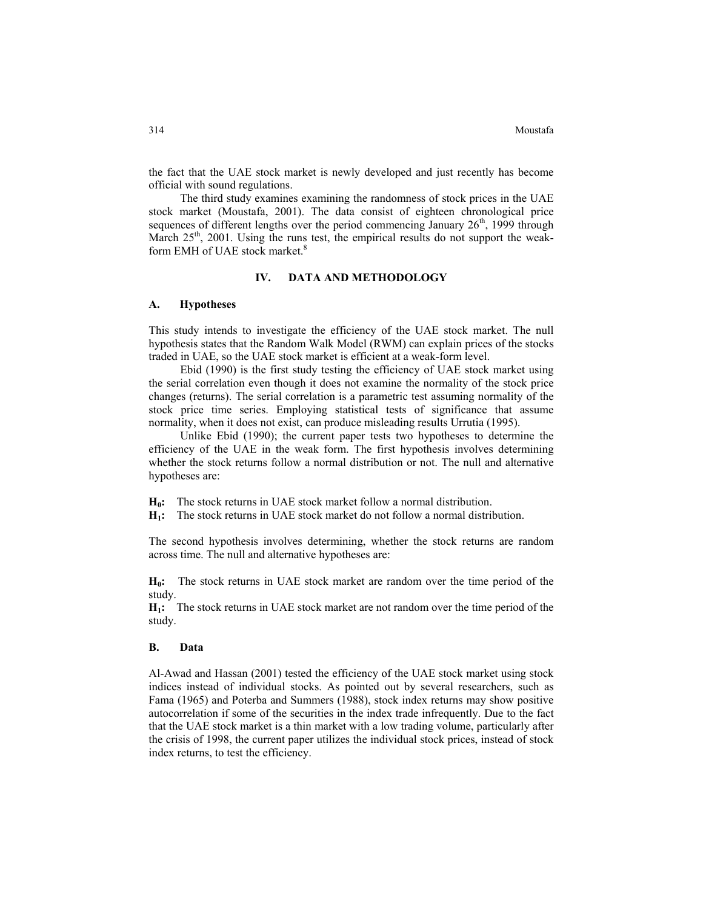the fact that the UAE stock market is newly developed and just recently has become official with sound regulations.

The third study examines examining the randomness of stock prices in the UAE stock market (Moustafa, 2001). The data consist of eighteen chronological price sequences of different lengths over the period commencing January  $26<sup>th</sup>$ , 1999 through March  $25<sup>th</sup>$ , 2001. Using the runs test, the empirical results do not support the weakform EMH of UAE stock market.<sup>8</sup>

# **IV. DATA AND METHODOLOGY**

#### **A. Hypotheses**

This study intends to investigate the efficiency of the UAE stock market. The null hypothesis states that the Random Walk Model (RWM) can explain prices of the stocks traded in UAE, so the UAE stock market is efficient at a weak-form level.

Ebid (1990) is the first study testing the efficiency of UAE stock market using the serial correlation even though it does not examine the normality of the stock price changes (returns). The serial correlation is a parametric test assuming normality of the stock price time series. Employing statistical tests of significance that assume normality, when it does not exist, can produce misleading results Urrutia (1995).

Unlike Ebid (1990); the current paper tests two hypotheses to determine the efficiency of the UAE in the weak form. The first hypothesis involves determining whether the stock returns follow a normal distribution or not. The null and alternative hypotheses are:

**H<sub>0</sub>:** The stock returns in UAE stock market follow a normal distribution.

**H1:** The stock returns in UAE stock market do not follow a normal distribution.

The second hypothesis involves determining, whether the stock returns are random across time. The null and alternative hypotheses are:

**H0:** The stock returns in UAE stock market are random over the time period of the study.

**H1:** The stock returns in UAE stock market are not random over the time period of the study.

#### **B. Data**

Al-Awad and Hassan (2001) tested the efficiency of the UAE stock market using stock indices instead of individual stocks. As pointed out by several researchers, such as Fama (1965) and Poterba and Summers (1988), stock index returns may show positive autocorrelation if some of the securities in the index trade infrequently. Due to the fact that the UAE stock market is a thin market with a low trading volume, particularly after the crisis of 1998, the current paper utilizes the individual stock prices, instead of stock index returns, to test the efficiency.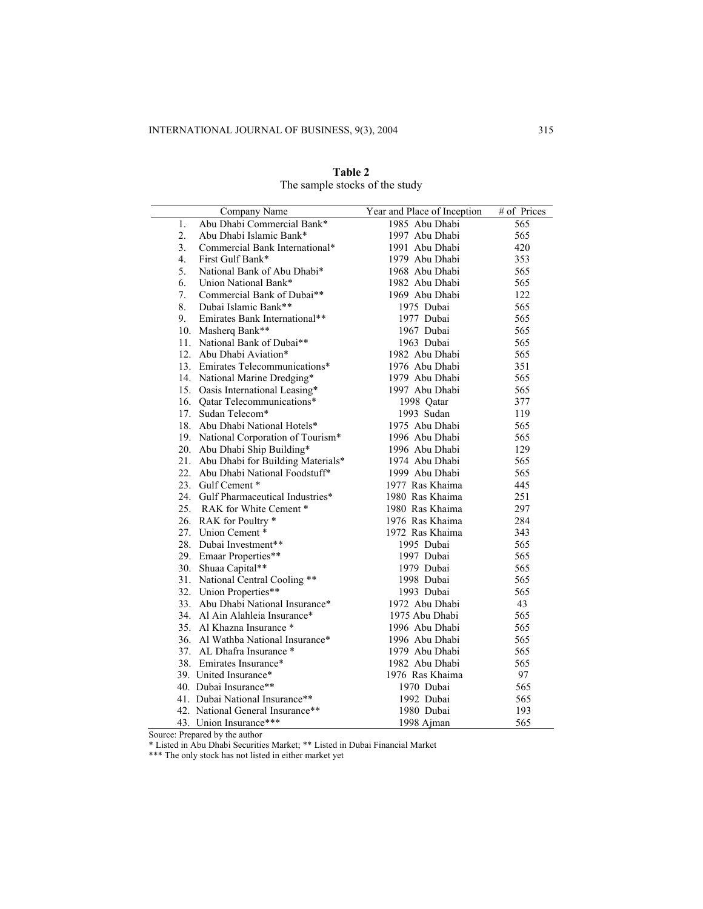$\overline{\phantom{0}}$ 

| Company Name                                     | Year and Place of Inception | # of Prices       |
|--------------------------------------------------|-----------------------------|-------------------|
| Abu Dhabi Commercial Bank*<br>1.                 | 1985 Abu Dhabi              | $\frac{565}{565}$ |
| 2.<br>Abu Dhabi Islamic Bank*                    | 1997 Abu Dhabi              | 565               |
| 3 <sub>1</sub><br>Commercial Bank International* | 1991 Abu Dhabi              | 420               |
| 4.<br>First Gulf Bank*                           | 1979 Abu Dhabi              | 353               |
| 5.<br>National Bank of Abu Dhabi*                | 1968 Abu Dhabi              | 565               |
| 6.<br>Union National Bank*                       | 1982 Abu Dhabi              | 565               |
| 7.<br>Commercial Bank of Dubai**                 | 1969 Abu Dhabi              | 122               |
| 8.<br>Dubai Islamic Bank**                       | 1975 Dubai                  | 565               |
| 9.<br>Emirates Bank International**              | 1977 Dubai                  | 565               |
| 10. Masherq Bank**                               | 1967 Dubai                  | 565               |
| 11. National Bank of Dubai**                     | 1963 Dubai                  | 565               |
| 12. Abu Dhabi Aviation*                          | 1982 Abu Dhabi              | 565               |
| 13. Emirates Telecommunications*                 | 1976 Abu Dhabi              | 351               |
| 14. National Marine Dredging*                    | 1979 Abu Dhabi              | 565               |
| 15. Oasis International Leasing*                 | 1997 Abu Dhabi              | 565               |
| 16. Qatar Telecommunications*                    | 1998 Qatar                  | 377               |
| 17. Sudan Telecom*                               | 1993 Sudan                  | 119               |
| 18. Abu Dhabi National Hotels*                   | 1975 Abu Dhabi              | 565               |
| 19. National Corporation of Tourism*             | 1996 Abu Dhabi              | 565               |
| 20. Abu Dhabi Ship Building*                     | 1996 Abu Dhabi              | 129               |
| 21. Abu Dhabi for Building Materials*            | 1974 Abu Dhabi              | 565               |
| 22. Abu Dhabi National Foodstuff*                | 1999 Abu Dhabi              | 565               |
| 23. Gulf Cement *                                | 1977 Ras Khaima             | 445               |
| 24. Gulf Pharmaceutical Industries*              | 1980 Ras Khaima             | 251               |
| 25. RAK for White Cement *                       | 1980 Ras Khaima             | 297               |
| 26. RAK for Poultry *                            | 1976 Ras Khaima             | 284               |
| 27. Union Cement *                               | 1972 Ras Khaima             | 343               |
| 28. Dubai Investment**                           | 1995 Dubai                  | 565               |
| 29. Emaar Properties**                           | 1997 Dubai                  | 565               |
| 30. Shuaa Capital**                              | 1979 Dubai                  | 565               |
| 31. National Central Cooling **                  | 1998 Dubai                  | 565               |
| 32. Union Properties**                           | 1993 Dubai                  | 565               |
| 33. Abu Dhabi National Insurance*                | 1972 Abu Dhabi              | 43                |
| 34. Al Ain Alahleia Insurance*                   | 1975 Abu Dhabi              | 565               |
| 35. Al Khazna Insurance *                        | 1996 Abu Dhabi              | 565               |
| 36. Al Wathba National Insurance*                | 1996 Abu Dhabi              | 565               |
| 37. AL Dhafra Insurance *                        | 1979 Abu Dhabi              | 565               |
| 38. Emirates Insurance*                          | 1982 Abu Dhabi              | 565               |
| 39. United Insurance*                            | 1976 Ras Khaima             | 97                |
| 40. Dubai Insurance**                            | 1970 Dubai                  | 565               |
| 41. Dubai National Insurance**                   | 1992 Dubai                  | 565               |
| 42. National General Insurance**                 | 1980 Dubai                  | 193               |
| 43. Union Insurance***                           | 1998 Ajman                  | 565               |

**Table 2**  The sample stocks of the study

Source: Prepared by the author

\* Listed in Abu Dhabi Securities Market; \*\* Listed in Dubai Financial Market

\*\*\* The only stock has not listed in either market yet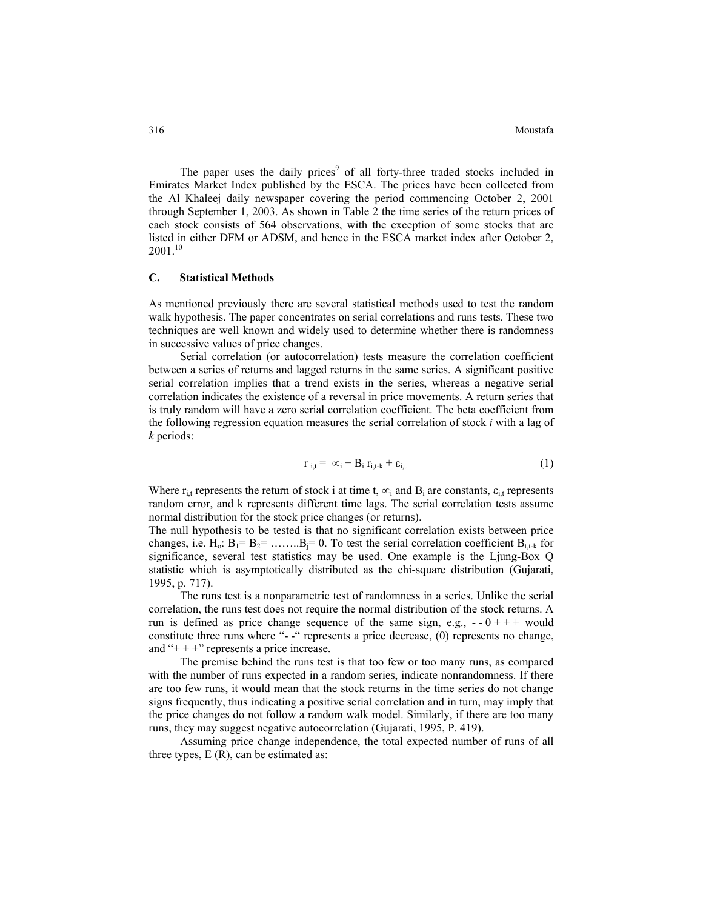The paper uses the daily prices<sup>9</sup> of all forty-three traded stocks included in Emirates Market Index published by the ESCA. The prices have been collected from the Al Khaleej daily newspaper covering the period commencing October 2, 2001 through September 1, 2003. As shown in Table 2 the time series of the return prices of each stock consists of 564 observations, with the exception of some stocks that are listed in either DFM or ADSM, and hence in the ESCA market index after October 2,  $2001^{10}$ 

# **C. Statistical Methods**

As mentioned previously there are several statistical methods used to test the random walk hypothesis. The paper concentrates on serial correlations and runs tests. These two techniques are well known and widely used to determine whether there is randomness in successive values of price changes.

Serial correlation (or autocorrelation) tests measure the correlation coefficient between a series of returns and lagged returns in the same series. A significant positive serial correlation implies that a trend exists in the series, whereas a negative serial correlation indicates the existence of a reversal in price movements. A return series that is truly random will have a zero serial correlation coefficient. The beta coefficient from the following regression equation measures the serial correlation of stock *i* with a lag of *k* periods:

$$
\mathbf{r}_{i,t} = \alpha_i + \mathbf{B}_i \, \mathbf{r}_{i,t-k} + \varepsilon_{i,t} \tag{1}
$$

Where  $r_{i,t}$  represents the return of stock i at time t,  $\alpha_i$  and  $B_i$  are constants,  $\varepsilon_{i,t}$  represents random error, and k represents different time lags. The serial correlation tests assume normal distribution for the stock price changes (or returns).

The null hypothesis to be tested is that no significant correlation exists between price changes, i.e.  $H_0$ :  $B_1 = B_2 = \dots = B_i = 0$ . To test the serial correlation coefficient  $B_{t,t-k}$  for significance, several test statistics may be used. One example is the Ljung-Box Q statistic which is asymptotically distributed as the chi-square distribution (Gujarati, 1995, p. 717).

The runs test is a nonparametric test of randomness in a series. Unlike the serial correlation, the runs test does not require the normal distribution of the stock returns. A run is defined as price change sequence of the same sign, e.g.,  $-0 + + +$  would constitute three runs where "- -" represents a price decrease, (0) represents no change, and " $++$ " represents a price increase.

The premise behind the runs test is that too few or too many runs, as compared with the number of runs expected in a random series, indicate nonrandomness. If there are too few runs, it would mean that the stock returns in the time series do not change signs frequently, thus indicating a positive serial correlation and in turn, may imply that the price changes do not follow a random walk model. Similarly, if there are too many runs, they may suggest negative autocorrelation (Gujarati, 1995, P. 419).

Assuming price change independence, the total expected number of runs of all three types,  $E(R)$ , can be estimated as: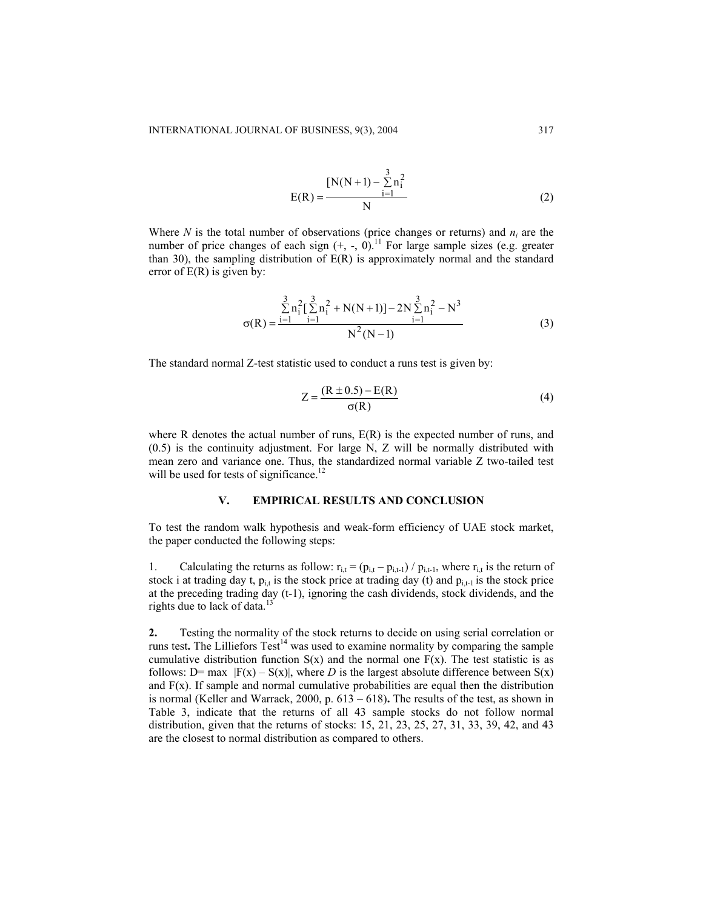$$
E(R) = \frac{[N(N+1) - \sum_{i=1}^{3} n_i^2]}{N}
$$
 (2)

Where *N* is the total number of observations (price changes or returns) and  $n_i$  are the number of price changes of each sign  $(+, -, 0)$ .<sup>11</sup> For large sample sizes (e.g. greater than 30), the sampling distribution of  $E(R)$  is approximately normal and the standard error of  $E(R)$  is given by:

$$
\sigma(R) = \frac{\sum_{i=1}^{3} n_i^2 \left[\sum_{i=1}^{3} n_i^2 + N(N+1)\right] - 2N \sum_{i=1}^{3} n_i^2 - N^3}{N^2 (N-1)}
$$
(3)

The standard normal Z-test statistic used to conduct a runs test is given by:

$$
Z = \frac{(R \pm 0.5) - E(R)}{\sigma(R)}
$$
 (4)

where R denotes the actual number of runs,  $E(R)$  is the expected number of runs, and (0.5) is the continuity adjustment. For large N, Z will be normally distributed with mean zero and variance one. Thus, the standardized normal variable Z two-tailed test will be used for tests of significance.<sup>12</sup>

## **V. EMPIRICAL RESULTS AND CONCLUSION**

To test the random walk hypothesis and weak-form efficiency of UAE stock market, the paper conducted the following steps:

1. Calculating the returns as follow:  $r_{i,t} = (p_{i,t} - p_{i,t-1}) / p_{i,t-1}$ , where  $r_{i,t}$  is the return of stock i at trading day t,  $p_{i,t}$  is the stock price at trading day (t) and  $p_{i,t-1}$  is the stock price at the preceding trading day (t-1), ignoring the cash dividends, stock dividends, and the rights due to lack of data.<sup>13</sup>

**2.** Testing the normality of the stock returns to decide on using serial correlation or runs test. The Lilliefors  $Test<sup>14</sup>$  was used to examine normality by comparing the sample cumulative distribution function  $S(x)$  and the normal one  $F(x)$ . The test statistic is as follows: D= max  $|F(x) - S(x)|$ , where *D* is the largest absolute difference between  $S(x)$ and F(x). If sample and normal cumulative probabilities are equal then the distribution is normal (Keller and Warrack, 2000, p. 613 – 618)**.** The results of the test, as shown in Table 3, indicate that the returns of all 43 sample stocks do not follow normal distribution, given that the returns of stocks: 15, 21, 23, 25, 27, 31, 33, 39, 42, and 43 are the closest to normal distribution as compared to others.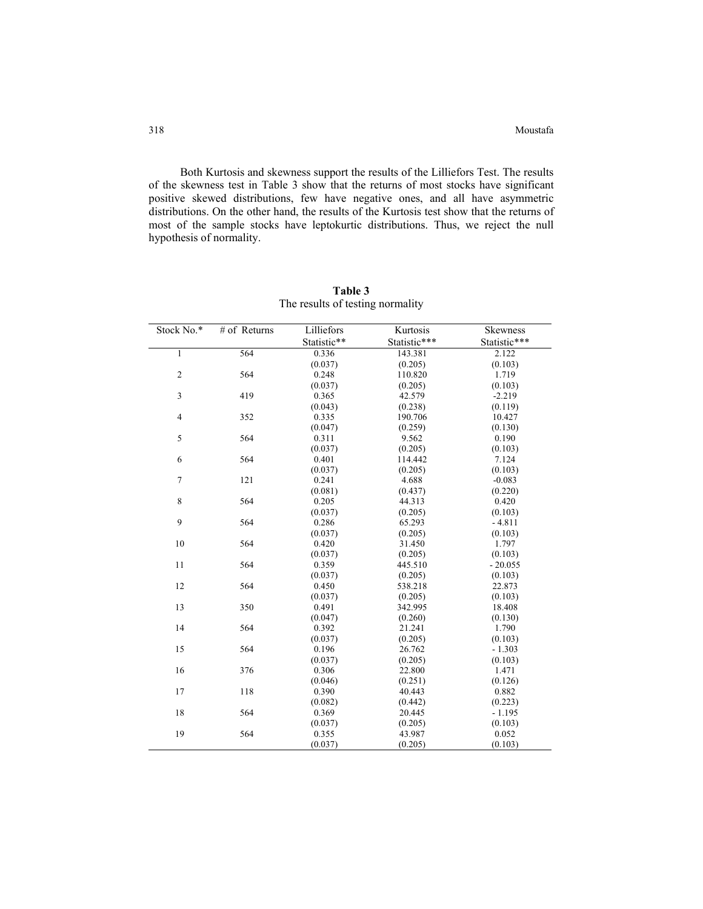Both Kurtosis and skewness support the results of the Lilliefors Test. The results of the skewness test in Table 3 show that the returns of most stocks have significant positive skewed distributions, few have negative ones, and all have asymmetric distributions. On the other hand, the results of the Kurtosis test show that the returns of most of the sample stocks have leptokurtic distributions. Thus, we reject the null hypothesis of normality.

| Stock No.*              | # of Returns | Lilliefors  | Kurtosis     | Skewness     |
|-------------------------|--------------|-------------|--------------|--------------|
|                         |              | Statistic** | Statistic*** | Statistic*** |
| $\mathbf{1}$            | 564          | 0.336       | 143.381      | 2.122        |
|                         |              | (0.037)     | (0.205)      | (0.103)      |
| $\overline{c}$          | 564          | 0.248       | 110.820      | 1.719        |
|                         |              | (0.037)     | (0.205)      | (0.103)      |
| 3                       | 419          | 0.365       | 42.579       | $-2.219$     |
|                         |              | (0.043)     | (0.238)      | (0.119)      |
| $\overline{\mathbf{4}}$ | 352          | 0.335       | 190.706      | 10.427       |
|                         |              | (0.047)     | (0.259)      | (0.130)      |
| 5                       | 564          | 0.311       | 9.562        | 0.190        |
|                         |              | (0.037)     | (0.205)      | (0.103)      |
| $\sqrt{6}$              | 564          | 0.401       | 114.442      | 7.124        |
|                         |              | (0.037)     | (0.205)      | (0.103)      |
| $\boldsymbol{7}$        | 121          | 0.241       | 4.688        | $-0.083$     |
|                         |              | (0.081)     | (0.437)      | (0.220)      |
| 8                       | 564          | 0.205       | 44.313       | 0.420        |
|                         |              | (0.037)     | (0.205)      | (0.103)      |
| 9                       | 564          | 0.286       | 65.293       | $-4.811$     |
|                         |              | (0.037)     | (0.205)      | (0.103)      |
| 10                      | 564          | 0.420       | 31.450       | 1.797        |
|                         |              | (0.037)     | (0.205)      | (0.103)      |
| 11                      | 564          | 0.359       | 445.510      | $-20.055$    |
|                         |              | (0.037)     | (0.205)      | (0.103)      |
| 12                      | 564          | 0.450       | 538.218      | 22.873       |
|                         |              | (0.037)     | (0.205)      | (0.103)      |
| 13                      | 350          | 0.491       | 342.995      | 18.408       |
|                         |              | (0.047)     | (0.260)      | (0.130)      |
| 14                      | 564          | 0.392       | 21.241       | 1.790        |
|                         |              | (0.037)     | (0.205)      | (0.103)      |
| 15                      | 564          | 0.196       | 26.762       | $-1.303$     |
|                         |              | (0.037)     | (0.205)      | (0.103)      |
| 16                      | 376          | 0.306       | 22.800       | 1.471        |
|                         |              | (0.046)     | (0.251)      | (0.126)      |
| 17                      | 118          | 0.390       | 40.443       | 0.882        |
|                         |              | (0.082)     | (0.442)      | (0.223)      |
| 18                      | 564          | 0.369       | 20.445       | $-1.195$     |
|                         |              | (0.037)     | (0.205)      | (0.103)      |
| 19                      | 564          | 0.355       | 43.987       | 0.052        |
|                         |              | (0.037)     | (0.205)      | (0.103)      |

**Table 3** The results of testing normality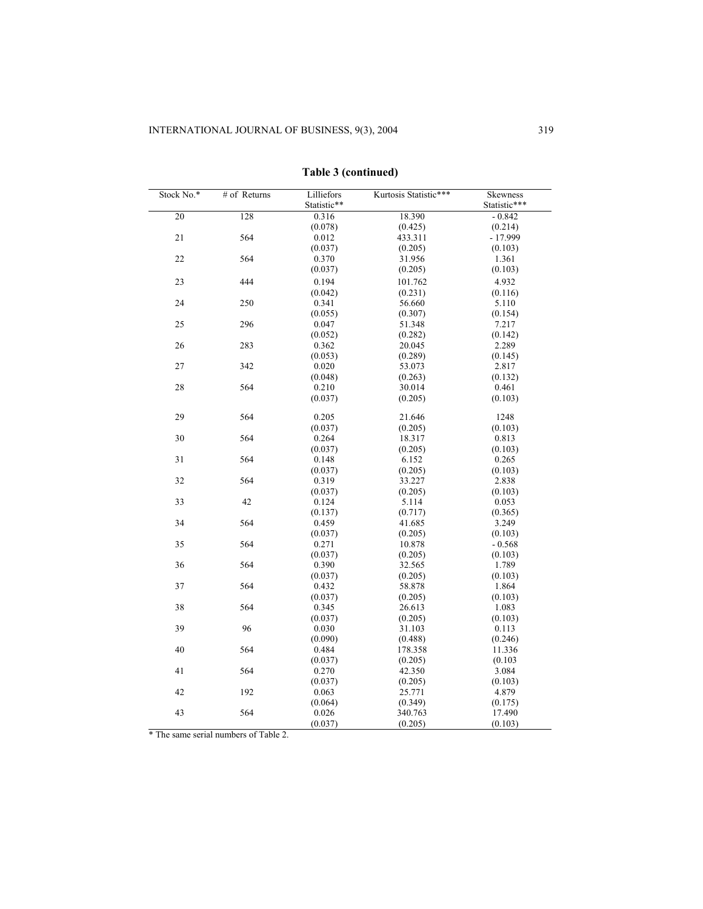| Stock No.* | # of Returns | Lilliefors<br>Statistic** | Kurtosis Statistic*** | Skewness<br>Statistic*** |
|------------|--------------|---------------------------|-----------------------|--------------------------|
| 20         | 128          | 0.316                     | 18.390                | $-0.842$                 |
|            |              | (0.078)                   | (0.425)               | (0.214)                  |
| 21         | 564          | 0.012                     | 433.311               | $-17.999$                |
|            |              | (0.037)                   | (0.205)               | (0.103)                  |
| 22         | 564          | 0.370                     | 31.956                | 1.361                    |
|            |              | (0.037)                   | (0.205)               | (0.103)                  |
| 23         | 444          | 0.194                     | 101.762               | 4.932                    |
|            |              | (0.042)                   | (0.231)               | (0.116)                  |
| 24         | 250          | 0.341                     | 56.660                | 5.110                    |
|            |              | (0.055)                   | (0.307)               | (0.154)                  |
| 25         | 296          | 0.047                     | 51.348                | 7.217                    |
|            |              | (0.052)                   | (0.282)               | (0.142)                  |
| 26         | 283          | 0.362                     | 20.045                | 2.289                    |
|            |              | (0.053)                   | (0.289)               | (0.145)                  |
| 27         | 342          | 0.020                     | 53.073                | 2.817                    |
|            |              | (0.048)                   | (0.263)               | (0.132)                  |
| 28         | 564          | 0.210                     | 30.014                | 0.461                    |
|            |              | (0.037)                   | (0.205)               | (0.103)                  |
| 29         | 564          | 0.205                     | 21.646                | 1248                     |
|            |              | (0.037)                   | (0.205)               | (0.103)                  |
| 30         | 564          | 0.264                     | 18.317                | 0.813                    |
|            |              | (0.037)                   | (0.205)               | (0.103)                  |
| 31         | 564          | 0.148                     | 6.152                 | 0.265                    |
|            |              | (0.037)                   | (0.205)               | (0.103)                  |
| 32         | 564          | 0.319                     | 33.227                | 2.838                    |
|            |              | (0.037)                   | (0.205)               | (0.103)                  |
| 33         | 42           | 0.124                     | 5.114                 | 0.053                    |
|            |              | (0.137)                   | (0.717)               | (0.365)                  |
| 34         | 564          | 0.459                     | 41.685                | 3.249                    |
|            |              | (0.037)                   | (0.205)               | (0.103)                  |
| 35         | 564          | 0.271                     | 10.878                | $-0.568$                 |
|            |              | (0.037)                   | (0.205)               | (0.103)                  |
| 36         | 564          | 0.390                     | 32.565                | 1.789                    |
|            |              | (0.037)                   | (0.205)               | (0.103)                  |
| 37         | 564          | 0.432                     | 58.878                | 1.864                    |
|            |              | (0.037)                   | (0.205)               | (0.103)                  |
| 38         | 564          | 0.345                     | 26.613                | 1.083                    |
|            |              | (0.037)                   | (0.205)               | (0.103)                  |
| 39         | 96           | 0.030                     | 31.103                | 0.113                    |
|            |              | (0.090)                   | (0.488)               | (0.246)                  |
| 40         | 564          | 0.484                     | 178.358               | 11.336                   |
|            |              | (0.037)                   | (0.205)               | (0.103)                  |
| 41         | 564          | 0.270                     | 42.350                | 3.084                    |
|            |              | (0.037)                   | (0.205)               | (0.103)                  |
| 42         | 192          | 0.063                     | 25.771                | 4.879                    |
|            |              | (0.064)                   | (0.349)               | (0.175)                  |
| 43         | 564          | 0.026                     | 340.763               | 17.490                   |
|            |              | (0.037)                   | (0.205)               | (0.103)                  |

**Table 3 (continued)**

\* The same serial numbers of Table 2.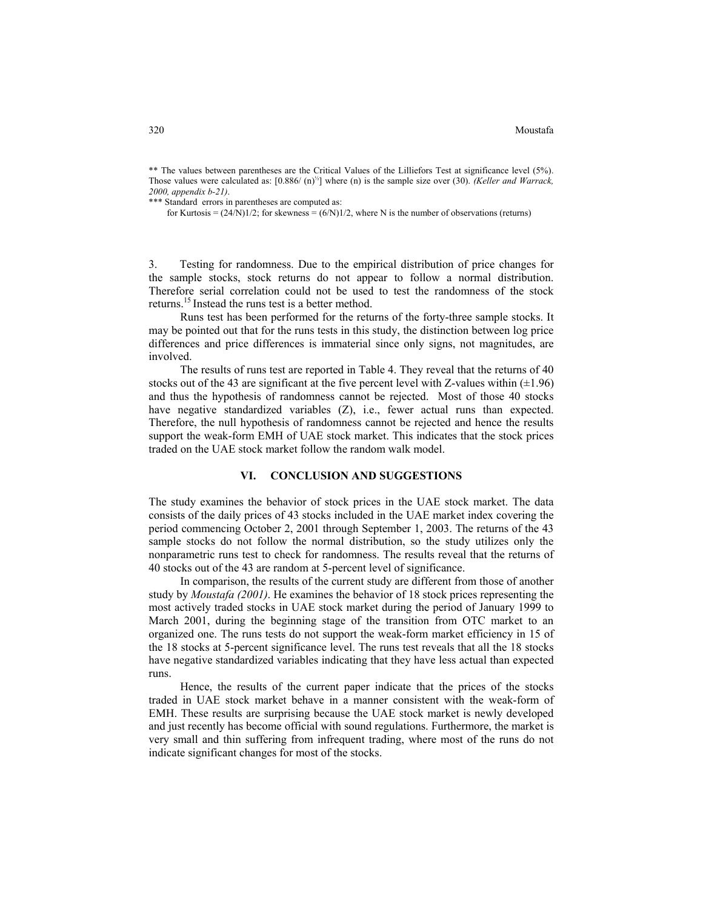320 Moustafa

\*\* The values between parentheses are the Critical Values of the Lilliefors Test at significance level (5%). Those values were calculated as: [0.886/ (n) ½] where (n) is the sample size over (30). *(Keller and Warrack, 2000, appendix b-21)*.

\*\*\* Standard errors in parentheses are computed as:

for Kurtosis =  $(24/N)1/2$ ; for skewness =  $(6/N)1/2$ , where N is the number of observations (returns)

3. Testing for randomness. Due to the empirical distribution of price changes for the sample stocks, stock returns do not appear to follow a normal distribution. Therefore serial correlation could not be used to test the randomness of the stock returns.<sup>15</sup> Instead the runs test is a better method.

Runs test has been performed for the returns of the forty-three sample stocks. It may be pointed out that for the runs tests in this study, the distinction between log price differences and price differences is immaterial since only signs, not magnitudes, are involved.

The results of runs test are reported in Table 4. They reveal that the returns of 40 stocks out of the 43 are significant at the five percent level with Z-values within  $(\pm 1.96)$ and thus the hypothesis of randomness cannot be rejected. Most of those 40 stocks have negative standardized variables (Z), i.e., fewer actual runs than expected. Therefore, the null hypothesis of randomness cannot be rejected and hence the results support the weak-form EMH of UAE stock market. This indicates that the stock prices traded on the UAE stock market follow the random walk model.

#### **VI. CONCLUSION AND SUGGESTIONS**

The study examines the behavior of stock prices in the UAE stock market. The data consists of the daily prices of 43 stocks included in the UAE market index covering the period commencing October 2, 2001 through September 1, 2003. The returns of the 43 sample stocks do not follow the normal distribution, so the study utilizes only the nonparametric runs test to check for randomness. The results reveal that the returns of 40 stocks out of the 43 are random at 5-percent level of significance.

In comparison, the results of the current study are different from those of another study by *Moustafa (2001)*. He examines the behavior of 18 stock prices representing the most actively traded stocks in UAE stock market during the period of January 1999 to March 2001, during the beginning stage of the transition from OTC market to an organized one. The runs tests do not support the weak-form market efficiency in 15 of the 18 stocks at 5-percent significance level. The runs test reveals that all the 18 stocks have negative standardized variables indicating that they have less actual than expected runs.

Hence, the results of the current paper indicate that the prices of the stocks traded in UAE stock market behave in a manner consistent with the weak-form of EMH. These results are surprising because the UAE stock market is newly developed and just recently has become official with sound regulations. Furthermore, the market is very small and thin suffering from infrequent trading, where most of the runs do not indicate significant changes for most of the stocks.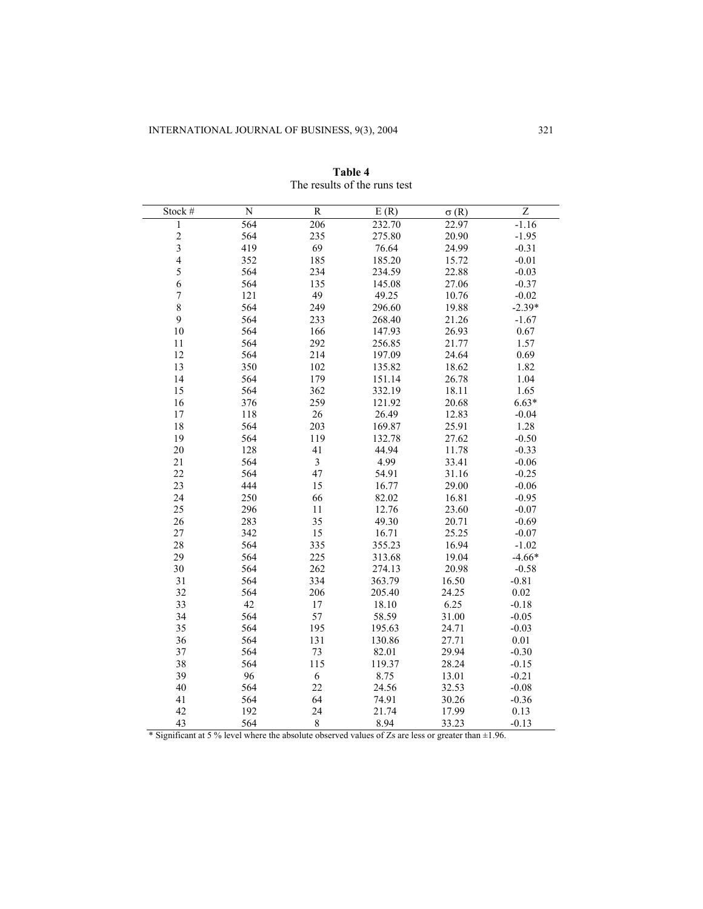| Stock #        | $\overline{N}$ | $\overline{R}$          | E(R)   | $\sigma(R)$ | $\overline{z}$ |
|----------------|----------------|-------------------------|--------|-------------|----------------|
| $\,1$          | 564            | 206                     | 232.70 | 22.97       | $-1.16$        |
| $\frac{2}{3}$  | 564            | 235                     | 275.80 | 20.90       | $-1.95$        |
|                | 419            | 69                      | 76.64  | 24.99       | $-0.31$        |
| $\overline{4}$ | 352            | 185                     | 185.20 | 15.72       | $-0.01$        |
| 5              | 564            | 234                     | 234.59 | 22.88       | $-0.03$        |
| 6              | 564            | 135                     | 145.08 | 27.06       | $-0.37$        |
| $\overline{7}$ | 121            | 49                      | 49.25  | 10.76       | $-0.02$        |
| 8              | 564            | 249                     | 296.60 | 19.88       | $-2.39*$       |
| 9              | 564            | 233                     | 268.40 | 21.26       | $-1.67$        |
| 10             | 564            | 166                     | 147.93 | 26.93       | 0.67           |
| 11             | 564            | 292                     | 256.85 | 21.77       | 1.57           |
| 12             | 564            | 214                     | 197.09 | 24.64       | 0.69           |
| 13             | 350            | 102                     | 135.82 | 18.62       | 1.82           |
| 14             | 564            | 179                     | 151.14 | 26.78       | 1.04           |
| 15             | 564            | 362                     | 332.19 | 18.11       | 1.65           |
| 16             | 376            | 259                     | 121.92 | 20.68       | $6.63*$        |
| 17             | 118            | $26\,$                  | 26.49  | 12.83       | $-0.04$        |
| 18             | 564            | 203                     | 169.87 | 25.91       | 1.28           |
| 19             | 564            | 119                     | 132.78 | 27.62       | $-0.50$        |
| 20             | 128            | 41                      | 44.94  | 11.78       | $-0.33$        |
| 21             | 564            | $\overline{\mathbf{3}}$ | 4.99   | 33.41       | $-0.06$        |
| 22             | 564            | 47                      | 54.91  | 31.16       | $-0.25$        |
| 23             | 444            | 15                      | 16.77  | 29.00       | $-0.06$        |
| 24             | 250            | 66                      | 82.02  | 16.81       | $-0.95$        |
| 25             | 296            | 11                      | 12.76  | 23.60       | $-0.07$        |
| 26             | 283            | 35                      | 49.30  | 20.71       | $-0.69$        |
| 27             | 342            | 15                      | 16.71  | 25.25       | $-0.07$        |
| 28             | 564            | 335                     | 355.23 | 16.94       | $-1.02$        |
| 29             | 564            | 225                     | 313.68 | 19.04       | $-4.66*$       |
| 30             | 564            | 262                     | 274.13 | 20.98       | $-0.58$        |
| 31             | 564            | 334                     | 363.79 | 16.50       | $-0.81$        |
| 32             | 564            | 206                     | 205.40 | 24.25       | 0.02           |
| 33             | 42             | $17\,$                  | 18.10  | 6.25        | $-0.18$        |
| 34             | 564            | 57                      | 58.59  | 31.00       | $-0.05$        |
| 35             | 564            | 195                     | 195.63 | 24.71       | $-0.03$        |
| 36             | 564            | 131                     | 130.86 | 27.71       | 0.01           |
| 37             | 564            | 73                      | 82.01  | 29.94       | $-0.30$        |
| 38             | 564            | 115                     | 119.37 | 28.24       | $-0.15$        |
| 39             | 96             | $\sqrt{6}$              | 8.75   | 13.01       | $-0.21$        |
| 40             | 564            | 22                      | 24.56  | 32.53       | $-0.08$        |
| 41             | 564            | 64                      | 74.91  | 30.26       | $-0.36$        |
| 42             | 192            | 24                      | 21.74  | 17.99       | 0.13           |
| 43             | 564            | $\,8\,$                 | 8.94   | 33.23       | $-0.13$        |

| Table 4 |                              |  |  |  |
|---------|------------------------------|--|--|--|
|         | The results of the runs test |  |  |  |

\* Significant at 5 % level where the absolute observed values of Zs are less or greater than  $\pm 1.96$ .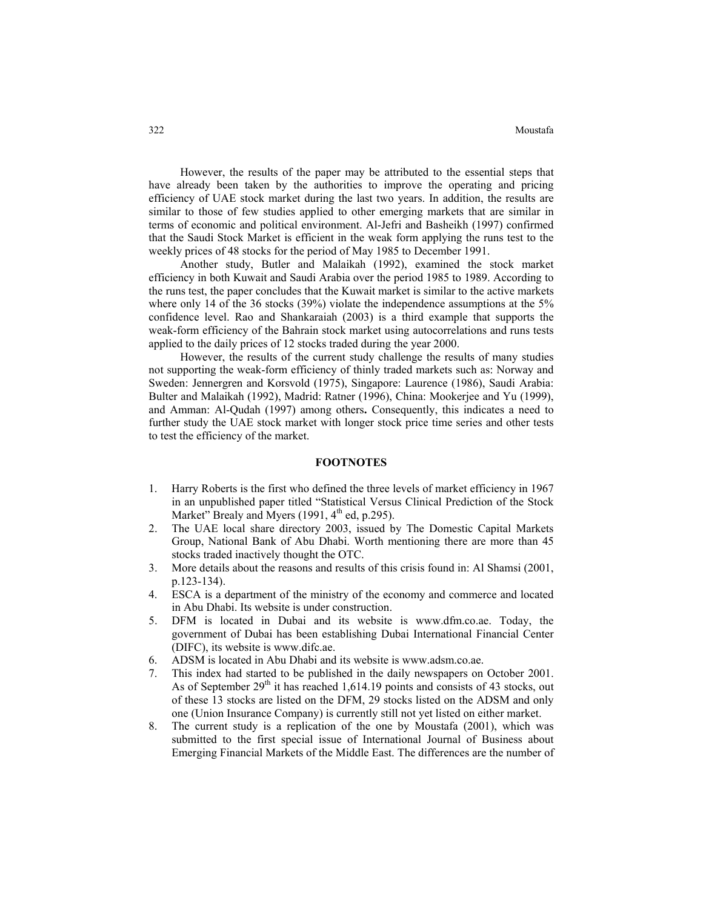However, the results of the paper may be attributed to the essential steps that have already been taken by the authorities to improve the operating and pricing efficiency of UAE stock market during the last two years. In addition, the results are similar to those of few studies applied to other emerging markets that are similar in terms of economic and political environment. Al-Jefri and Basheikh (1997) confirmed that the Saudi Stock Market is efficient in the weak form applying the runs test to the weekly prices of 48 stocks for the period of May 1985 to December 1991.

Another study, Butler and Malaikah (1992), examined the stock market efficiency in both Kuwait and Saudi Arabia over the period 1985 to 1989. According to the runs test, the paper concludes that the Kuwait market is similar to the active markets where only 14 of the 36 stocks (39%) violate the independence assumptions at the 5% confidence level. Rao and Shankaraiah (2003) is a third example that supports the weak-form efficiency of the Bahrain stock market using autocorrelations and runs tests applied to the daily prices of 12 stocks traded during the year 2000.

However, the results of the current study challenge the results of many studies not supporting the weak-form efficiency of thinly traded markets such as: Norway and Sweden: Jennergren and Korsvold (1975), Singapore: Laurence (1986), Saudi Arabia: Bulter and Malaikah (1992), Madrid: Ratner (1996), China: Mookerjee and Yu (1999), and Amman: Al-Qudah (1997) among others**.** Consequently, this indicates a need to further study the UAE stock market with longer stock price time series and other tests to test the efficiency of the market.

#### **FOOTNOTES**

- 1. Harry Roberts is the first who defined the three levels of market efficiency in 1967 in an unpublished paper titled "Statistical Versus Clinical Prediction of the Stock Market" Brealy and Myers (1991,  $4<sup>th</sup>$  ed, p.295).
- 2. The UAE local share directory 2003, issued by The Domestic Capital Markets Group, National Bank of Abu Dhabi. Worth mentioning there are more than 45 stocks traded inactively thought the OTC.
- 3. More details about the reasons and results of this crisis found in: Al Shamsi (2001, p.123-134).
- 4. ESCA is a department of the ministry of the economy and commerce and located in Abu Dhabi. Its website is under construction.
- 5. DFM is located in Dubai and its website is [www.dfm.co.ae.](http://www.dfm.co.ae/) Today, the government of Dubai has been establishing Dubai International Financial Center (DIFC), its website is www.difc.ae.
- 6. ADSM is located in Abu Dhabi and its website is [www.adsm.co.ae](http://www.adsm.co.ae/).
- 7. This index had started to be published in the daily newspapers on October 2001. As of September  $29<sup>th</sup>$  it has reached 1,614.19 points and consists of 43 stocks, out of these 13 stocks are listed on the DFM, 29 stocks listed on the ADSM and only one (Union Insurance Company) is currently still not yet listed on either market.
- 8. The current study is a replication of the one by Moustafa (2001), which was submitted to the first special issue of International Journal of Business about Emerging Financial Markets of the Middle East. The differences are the number of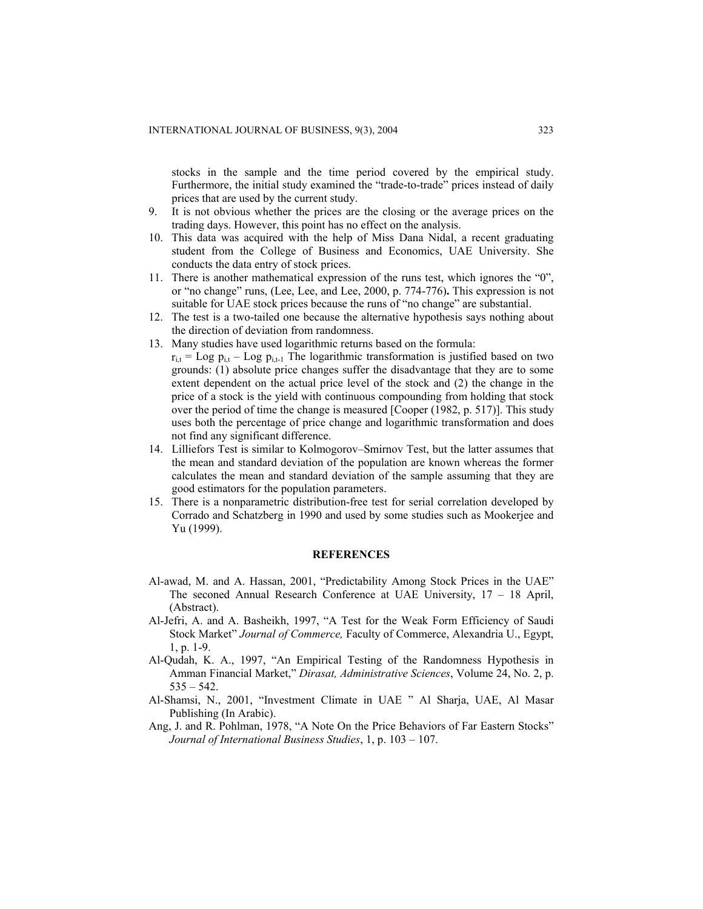stocks in the sample and the time period covered by the empirical study. Furthermore, the initial study examined the "trade-to-trade" prices instead of daily prices that are used by the current study.

- 9. It is not obvious whether the prices are the closing or the average prices on the trading days. However, this point has no effect on the analysis.
- 10. This data was acquired with the help of Miss Dana Nidal, a recent graduating student from the College of Business and Economics, UAE University. She conducts the data entry of stock prices.
- 11. There is another mathematical expression of the runs test, which ignores the "0", or "no change" runs, (Lee, Lee, and Lee, 2000, p. 774-776)**.** This expression is not suitable for UAE stock prices because the runs of "no change" are substantial.
- 12. The test is a two-tailed one because the alternative hypothesis says nothing about the direction of deviation from randomness.
- 13. Many studies have used logarithmic returns based on the formula:
- $r_{i,t} =$  Log  $p_{i,t}$  Log  $p_{i,t}$  The logarithmic transformation is justified based on two grounds: (1) absolute price changes suffer the disadvantage that they are to some extent dependent on the actual price level of the stock and (2) the change in the price of a stock is the yield with continuous compounding from holding that stock over the period of time the change is measured [Cooper (1982, p. 517)]. This study uses both the percentage of price change and logarithmic transformation and does not find any significant difference.
- 14. Lilliefors Test is similar to Kolmogorov–Smirnov Test, but the latter assumes that the mean and standard deviation of the population are known whereas the former calculates the mean and standard deviation of the sample assuming that they are good estimators for the population parameters.
- 15. There is a nonparametric distribution-free test for serial correlation developed by Corrado and Schatzberg in 1990 and used by some studies such as Mookerjee and Yu (1999).

## **REFERENCES**

- Al-awad, M. and A. Hassan, 2001, "Predictability Among Stock Prices in the UAE" The seconed Annual Research Conference at UAE University, 17 – 18 April, (Abstract).
- Al-Jefri, A. and A. Basheikh, 1997, "A Test for the Weak Form Efficiency of Saudi Stock Market" *Journal of Commerce,* Faculty of Commerce, Alexandria U., Egypt, 1, p. 1-9.
- Al-Qudah, K. A., 1997, "An Empirical Testing of the Randomness Hypothesis in Amman Financial Market," *Dirasat, Administrative Sciences*, Volume 24, No. 2, p.  $535 - 542$ .
- Al-Shamsi, N., 2001, "Investment Climate in UAE " Al Sharja, UAE, Al Masar Publishing (In Arabic).
- Ang, J. and R. Pohlman, 1978, "A Note On the Price Behaviors of Far Eastern Stocks" *Journal of International Business Studies*, 1, p. 103 – 107.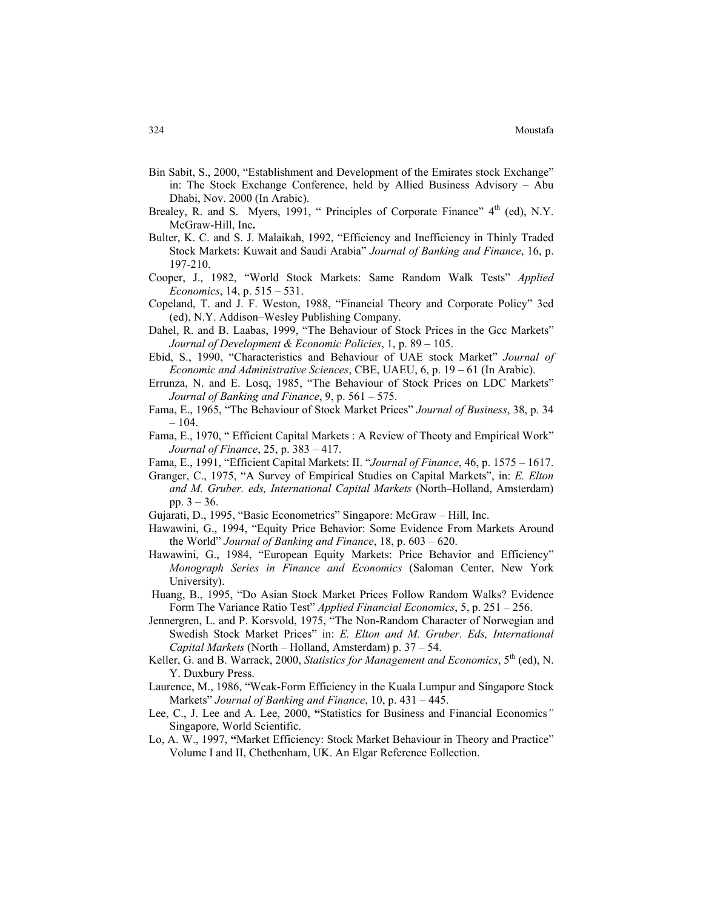- Bin Sabit, S., 2000, "Establishment and Development of the Emirates stock Exchange" in: The Stock Exchange Conference, held by Allied Business Advisory – Abu Dhabi, Nov. 2000 (In Arabic).
- Brealey, R. and S. Myers, 1991, " Principles of Corporate Finance"  $4<sup>th</sup>$  (ed), N.Y. McGraw-Hill, Inc**.**
- Bulter, K. C. and S. J. Malaikah, 1992, "Efficiency and Inefficiency in Thinly Traded Stock Markets: Kuwait and Saudi Arabia" *Journal of Banking and Finance*, 16, p. 197-210.
- Cooper, J., 1982, "World Stock Markets: Same Random Walk Tests" *Applied Economics*, 14, p. 515 – 531.
- Copeland, T. and J. F. Weston, 1988, "Financial Theory and Corporate Policy" 3ed (ed), N.Y. Addison–Wesley Publishing Company.
- Dahel, R. and B. Laabas, 1999, "The Behaviour of Stock Prices in the Gcc Markets" *Journal of Development & Economic Policies*, 1, p. 89 – 105.
- Ebid, S., 1990, "Characteristics and Behaviour of UAE stock Market" *Journal of Economic and Administrative Sciences*, CBE, UAEU, 6, p. 19 – 61 (In Arabic).
- Errunza, N. and E. Losq, 1985, "The Behaviour of Stock Prices on LDC Markets" *Journal of Banking and Finance*, 9, p. 561 – 575.
- Fama, E., 1965, "The Behaviour of Stock Market Prices" *Journal of Business*, 38, p. 34  $-104.$
- Fama, E., 1970, " Efficient Capital Markets : A Review of Theoty and Empirical Work" *Journal of Finance*, 25, p. 383 – 417.
- Fama, E., 1991, "Efficient Capital Markets: II. "*Journal of Finance*, 46, p. 1575 1617.
- Granger, C., 1975, "A Survey of Empirical Studies on Capital Markets", in: *E. Elton and M. Gruber. eds, International Capital Markets* (North–Holland, Amsterdam) pp.  $3 - 36$ .
- Gujarati, D., 1995, "Basic Econometrics" Singapore: McGraw Hill, Inc.
- Hawawini, G., 1994, "Equity Price Behavior: Some Evidence From Markets Around the World" *Journal of Banking and Finance*, 18, p. 603 – 620.
- Hawawini, G., 1984, "European Equity Markets: Price Behavior and Efficiency" *Monograph Series in Finance and Economics* (Saloman Center, New York University).
- Huang, B., 1995, "Do Asian Stock Market Prices Follow Random Walks? Evidence Form The Variance Ratio Test" *Applied Financial Economics*, 5, p. 251 – 256.
- Jennergren, L. and P. Korsvold, 1975, "The Non-Random Character of Norwegian and Swedish Stock Market Prices" in: *E. Elton and M. Gruber. Eds, International Capital Markets* (North – Holland, Amsterdam) p. 37 – 54.
- Keller, G. and B. Warrack, 2000, *Statistics for Management and Economics*, 5<sup>th</sup> (ed), N. Y. Duxbury Press.
- Laurence, M., 1986, "Weak-Form Efficiency in the Kuala Lumpur and Singapore Stock Markets" *Journal of Banking and Finance*, 10, p. 431 – 445.
- Lee, C., J. Lee and A. Lee, 2000, **"**Statistics for Business and Financial Economics*"* Singapore, World Scientific.
- Lo, A. W., 1997, **"**Market Efficiency: Stock Market Behaviour in Theory and Practice" Volume I and II, Chethenham, UK. An Elgar Reference Eollection.